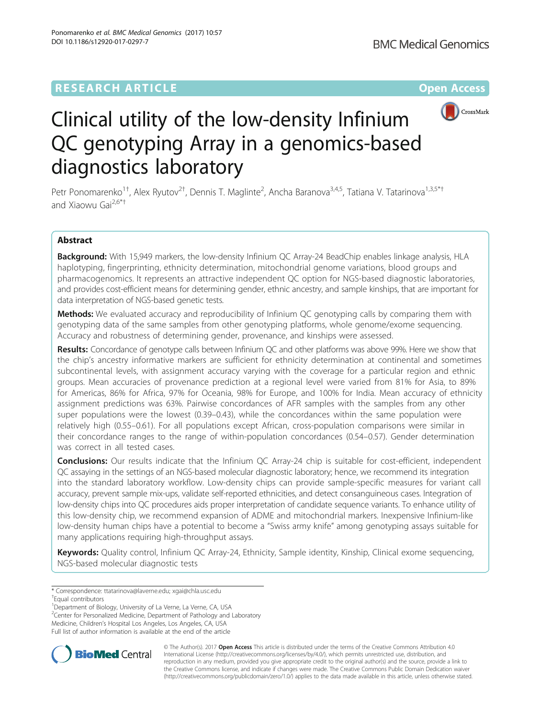# **RESEARCH ARTICLE External Structure Community Community Community Community Community Community Community Community**



# Clinical utility of the low-density Infinium QC genotyping Array in a genomics-based diagnostics laboratory

Petr Ponomarenko<sup>1†</sup>, Alex Ryutov<sup>2†</sup>, Dennis T. Maglinte<sup>2</sup>, Ancha Baranova<sup>3,4,5</sup>, Tatiana V. Tatarinova<sup>1,3,5\*†</sup> and Xiaowu Gai<sup>2,6\*†</sup>

# Abstract

Background: With 15,949 markers, the low-density Infinium QC Array-24 BeadChip enables linkage analysis, HLA haplotyping, fingerprinting, ethnicity determination, mitochondrial genome variations, blood groups and pharmacogenomics. It represents an attractive independent QC option for NGS-based diagnostic laboratories, and provides cost-efficient means for determining gender, ethnic ancestry, and sample kinships, that are important for data interpretation of NGS-based genetic tests.

Methods: We evaluated accuracy and reproducibility of Infinium QC genotyping calls by comparing them with genotyping data of the same samples from other genotyping platforms, whole genome/exome sequencing. Accuracy and robustness of determining gender, provenance, and kinships were assessed.

Results: Concordance of genotype calls between Infinium QC and other platforms was above 99%. Here we show that the chip's ancestry informative markers are sufficient for ethnicity determination at continental and sometimes subcontinental levels, with assignment accuracy varying with the coverage for a particular region and ethnic groups. Mean accuracies of provenance prediction at a regional level were varied from 81% for Asia, to 89% for Americas, 86% for Africa, 97% for Oceania, 98% for Europe, and 100% for India. Mean accuracy of ethnicity assignment predictions was 63%. Pairwise concordances of AFR samples with the samples from any other super populations were the lowest (0.39–0.43), while the concordances within the same population were relatively high (0.55–0.61). For all populations except African, cross-population comparisons were similar in their concordance ranges to the range of within-population concordances (0.54–0.57). Gender determination was correct in all tested cases.

**Conclusions:** Our results indicate that the Infinium QC Array-24 chip is suitable for cost-efficient, independent QC assaying in the settings of an NGS-based molecular diagnostic laboratory; hence, we recommend its integration into the standard laboratory workflow. Low-density chips can provide sample-specific measures for variant call accuracy, prevent sample mix-ups, validate self-reported ethnicities, and detect consanguineous cases. Integration of low-density chips into QC procedures aids proper interpretation of candidate sequence variants. To enhance utility of this low-density chip, we recommend expansion of ADME and mitochondrial markers. Inexpensive Infinium-like low-density human chips have a potential to become a "Swiss army knife" among genotyping assays suitable for many applications requiring high-throughput assays.

Keywords: Quality control, Infinium QC Array-24, Ethnicity, Sample identity, Kinship, Clinical exome sequencing, NGS-based molecular diagnostic tests

\* Correspondence: [ttatarinova@laverne.edu](mailto:ttatarinova@laverne.edu); [xgai@chla.usc.edu](mailto:xgai@chla.usc.edu) †

<sup>1</sup>Department of Biology, University of La Verne, La Verne, CA, USA

<sup>2</sup>Center for Personalized Medicine, Department of Pathology and Laboratory Medicine, Children's Hospital Los Angeles, Los Angeles, CA, USA

Full list of author information is available at the end of the article



© The Author(s). 2017 **Open Access** This article is distributed under the terms of the Creative Commons Attribution 4.0 International License [\(http://creativecommons.org/licenses/by/4.0/](http://creativecommons.org/licenses/by/4.0/)), which permits unrestricted use, distribution, and reproduction in any medium, provided you give appropriate credit to the original author(s) and the source, provide a link to the Creative Commons license, and indicate if changes were made. The Creative Commons Public Domain Dedication waiver [\(http://creativecommons.org/publicdomain/zero/1.0/](http://creativecommons.org/publicdomain/zero/1.0/)) applies to the data made available in this article, unless otherwise stated.

Equal contributors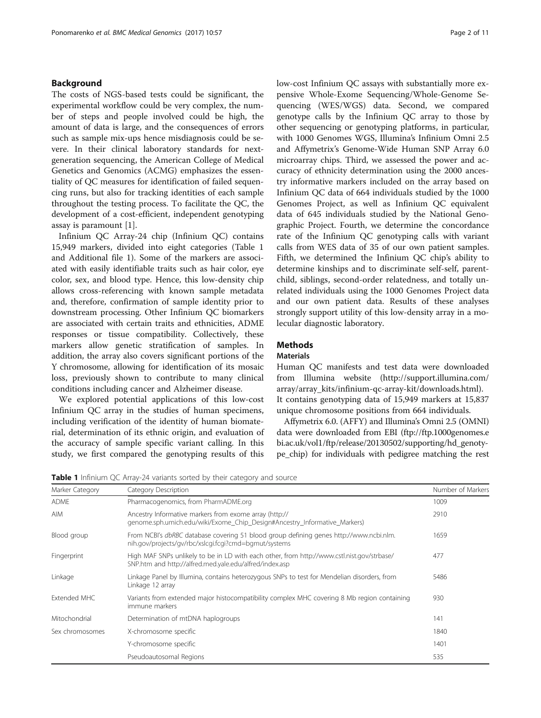# Background

The costs of NGS-based tests could be significant, the experimental workflow could be very complex, the number of steps and people involved could be high, the amount of data is large, and the consequences of errors such as sample mix-ups hence misdiagnosis could be severe. In their clinical laboratory standards for nextgeneration sequencing, the American College of Medical Genetics and Genomics (ACMG) emphasizes the essentiality of QC measures for identification of failed sequencing runs, but also for tracking identities of each sample throughout the testing process. To facilitate the QC, the development of a cost-efficient, independent genotyping assay is paramount [[1\]](#page-9-0).

Infinium QC Array-24 chip (Infinium QC) contains 15,949 markers, divided into eight categories (Table 1 and Additional file [1](#page-9-0)). Some of the markers are associated with easily identifiable traits such as hair color, eye color, sex, and blood type. Hence, this low-density chip allows cross-referencing with known sample metadata and, therefore, confirmation of sample identity prior to downstream processing. Other Infinium QC biomarkers are associated with certain traits and ethnicities, ADME responses or tissue compatibility. Collectively, these markers allow genetic stratification of samples. In addition, the array also covers significant portions of the Y chromosome, allowing for identification of its mosaic loss, previously shown to contribute to many clinical conditions including cancer and Alzheimer disease.

We explored potential applications of this low-cost Infinium QC array in the studies of human specimens, including verification of the identity of human biomaterial, determination of its ethnic origin, and evaluation of the accuracy of sample specific variant calling. In this study, we first compared the genotyping results of this low-cost Infinium QC assays with substantially more expensive Whole-Exome Sequencing/Whole-Genome Sequencing (WES/WGS) data. Second, we compared genotype calls by the Infinium QC array to those by other sequencing or genotyping platforms, in particular, with 1000 Genomes WGS, Illumina's Infinium Omni 2.5 and Affymetrix's Genome-Wide Human SNP Array 6.0 microarray chips. Third, we assessed the power and accuracy of ethnicity determination using the 2000 ancestry informative markers included on the array based on Infinium QC data of 664 individuals studied by the 1000 Genomes Project, as well as Infinium QC equivalent data of 645 individuals studied by the National Genographic Project. Fourth, we determine the concordance rate of the Infinium QC genotyping calls with variant calls from WES data of 35 of our own patient samples. Fifth, we determined the Infinium QC chip's ability to determine kinships and to discriminate self-self, parentchild, siblings, second-order relatedness, and totally unrelated individuals using the 1000 Genomes Project data and our own patient data. Results of these analyses strongly support utility of this low-density array in a molecular diagnostic laboratory.

# **Methods**

## Materials

Human QC manifests and test data were downloaded from Illumina website ([http://support.illumina.com/](http://support.illumina.com/array/array_kits/infinium-qc-array-kit/downloads.html) [array/array\\_kits/infinium-qc-array-kit/downloads.html](http://support.illumina.com/array/array_kits/infinium-qc-array-kit/downloads.html)). It contains genotyping data of 15,949 markers at 15,837 unique chromosome positions from 664 individuals.

Affymetrix 6.0. (AFFY) and Illumina's Omni 2.5 (OMNI) data were downloaded from EBI [\(ftp://ftp.1000genomes.e](ftp://ftp.1000genomes.ebi.ac.uk/vol1/ftp/release/20130502/supporting/hd_genotype_chip) [bi.ac.uk/vol1/ftp/release/20130502/supporting/hd\\_genoty](ftp://ftp.1000genomes.ebi.ac.uk/vol1/ftp/release/20130502/supporting/hd_genotype_chip)[pe\\_chip\)](ftp://ftp.1000genomes.ebi.ac.uk/vol1/ftp/release/20130502/supporting/hd_genotype_chip) for individuals with pedigree matching the rest

**Table 1** Infinium QC Array-24 variants sorted by their category and source

| Marker Category | Category Description                                                                                                                                  | Number of Markers |
|-----------------|-------------------------------------------------------------------------------------------------------------------------------------------------------|-------------------|
| <b>ADME</b>     | Pharmacogenomics, from PharmADME.org                                                                                                                  | 1009              |
| <b>AIM</b>      | Ancestry Informative markers from exome array (http://<br>genome.sph.umich.edu/wiki/Exome_Chip_Design#Ancestry_Informative_Markers)                   | 2910              |
| Blood group     | From NCBI's dbRBC database covering 51 blood group defining genes http://www.ncbi.nlm.<br>nih.gov/projects/gv/rbc/xslcgi.fcgi?cmd=bgmut/systems       | 1659              |
| Fingerprint     | High MAF SNPs unlikely to be in LD with each other, from http://www.cstl.nist.gov/strbase/<br>SNP.htm and http://alfred.med.yale.edu/alfred/index.asp | 477               |
| Linkage         | Linkage Panel by Illumina, contains heterozygous SNPs to test for Mendelian disorders, from<br>Linkage 12 array                                       | 5486              |
| Extended MHC    | Variants from extended major histocompatibility complex MHC covering 8 Mb region containing<br>immune markers                                         | 930               |
| Mitochondrial   | Determination of mtDNA haplogroups                                                                                                                    | 141               |
| Sex chromosomes | X-chromosome specific                                                                                                                                 | 1840              |
|                 | Y-chromosome specific                                                                                                                                 | 1401              |
|                 | Pseudoautosomal Regions                                                                                                                               | 535               |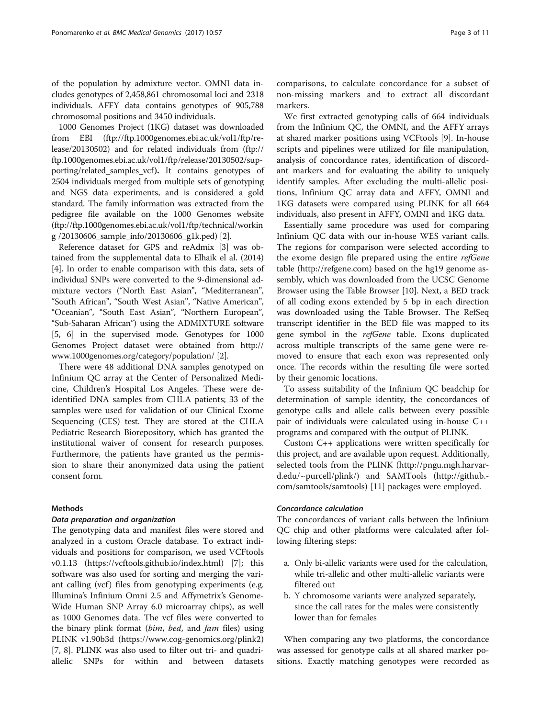of the population by admixture vector. OMNI data includes genotypes of 2,458,861 chromosomal loci and 2318 individuals. AFFY data contains genotypes of 905,788 chromosomal positions and 3450 individuals.

1000 Genomes Project (1KG) dataset was downloaded from EBI ([ftp://ftp.1000genomes.ebi.ac.uk/vol1/ftp/re](ftp://ftp.1000genomes.ebi.ac.uk/vol1/ftp/release/20130502)[lease/20130502](ftp://ftp.1000genomes.ebi.ac.uk/vol1/ftp/release/20130502)) and for related individuals from [\(ftp://](ftp://ftp.1000genomes.ebi.ac.uk/vol1/ftp/release/20130502/supporting/related_samples_vcf) [ftp.1000genomes.ebi.ac.uk/vol1/ftp/release/20130502/sup](ftp://ftp.1000genomes.ebi.ac.uk/vol1/ftp/release/20130502/supporting/related_samples_vcf)[porting/related\\_samples\\_vcf](ftp://ftp.1000genomes.ebi.ac.uk/vol1/ftp/release/20130502/supporting/related_samples_vcf)). It contains genotypes of 2504 individuals merged from multiple sets of genotyping and NGS data experiments, and is considered a gold standard. The family information was extracted from the pedigree file available on the 1000 Genomes website ([ftp://ftp.1000genomes.ebi.ac.uk/vol1/ftp/technical/workin](ftp://ftp.1000genomes.ebi.ac.uk/vol1/ftp/technical/working/20130606_sample_info/20130606_g1k.ped) [g /20130606\\_sample\\_info/20130606\\_g1k.ped](ftp://ftp.1000genomes.ebi.ac.uk/vol1/ftp/technical/working/20130606_sample_info/20130606_g1k.ped)) [\[2](#page-9-0)].

Reference dataset for GPS and reAdmix [\[3\]](#page-9-0) was obtained from the supplemental data to Elhaik el al. (2014) [[4\]](#page-9-0). In order to enable comparison with this data, sets of individual SNPs were converted to the 9-dimensional admixture vectors ("North East Asian", "Mediterranean", "South African", "South West Asian", "Native American", "Oceanian", "South East Asian", "Northern European", "Sub-Saharan African") using the ADMIXTURE software [[5,](#page-9-0) [6](#page-10-0)] in the supervised mode. Genotypes for 1000 Genomes Project dataset were obtained from [http://](http://www.1000genomes.org/category/population/) [www.1000genomes.org/category/population/](http://www.1000genomes.org/category/population/) [[2\]](#page-9-0).

There were 48 additional DNA samples genotyped on Infinium QC array at the Center of Personalized Medicine, Children's Hospital Los Angeles. These were deidentified DNA samples from CHLA patients; 33 of the samples were used for validation of our Clinical Exome Sequencing (CES) test. They are stored at the CHLA Pediatric Research Biorepository, which has granted the institutional waiver of consent for research purposes. Furthermore, the patients have granted us the permission to share their anonymized data using the patient consent form.

# Methods

# Data preparation and organization

The genotyping data and manifest files were stored and analyzed in a custom Oracle database. To extract individuals and positions for comparison, we used VCFtools v0.1.13 [\(https://vcftools.github.io/index.html](https://vcftools.github.io/index.html)) [[7](#page-10-0)]; this software was also used for sorting and merging the variant calling (vcf) files from genotyping experiments (e.g. Illumina's Infinium Omni 2.5 and Affymetrix's Genome-Wide Human SNP Array 6.0 microarray chips), as well as 1000 Genomes data. The vcf files were converted to the binary plink format (bim, bed, and fam files) using PLINK v1.90b3d [\(https://www.cog-genomics.org/plink2](https://www.cog-genomics.org/plink2)) [[7, 8](#page-10-0)]. PLINK was also used to filter out tri- and quadriallelic SNPs for within and between datasets comparisons, to calculate concordance for a subset of non-missing markers and to extract all discordant markers.

We first extracted genotyping calls of 664 individuals from the Infinium QC, the OMNI, and the AFFY arrays at shared marker positions using VCFtools [[9\]](#page-10-0). In-house scripts and pipelines were utilized for file manipulation, analysis of concordance rates, identification of discordant markers and for evaluating the ability to uniquely identify samples. After excluding the multi-allelic positions, Infinium QC array data and AFFY, OMNI and 1KG datasets were compared using PLINK for all 664 individuals, also present in AFFY, OMNI and 1KG data.

Essentially same procedure was used for comparing Infinium QC data with our in-house WES variant calls. The regions for comparison were selected according to the exome design file prepared using the entire *refGene* table (<http://refgene.com>) based on the hg19 genome assembly, which was downloaded from the UCSC Genome Browser using the Table Browser [[10\]](#page-10-0). Next, a BED track of all coding exons extended by 5 bp in each direction was downloaded using the Table Browser. The RefSeq transcript identifier in the BED file was mapped to its gene symbol in the refGene table. Exons duplicated across multiple transcripts of the same gene were removed to ensure that each exon was represented only once. The records within the resulting file were sorted by their genomic locations.

To assess suitability of the Infinium QC beadchip for determination of sample identity, the concordances of genotype calls and allele calls between every possible pair of individuals were calculated using in-house C++ programs and compared with the output of PLINK.

Custom C++ applications were written specifically for this project, and are available upon request. Additionally, selected tools from the PLINK ([http://pngu.mgh.harvar](http://pngu.mgh.harvard.edu/~purcell/plink/)[d.edu/~purcell/plink/\)](http://pngu.mgh.harvard.edu/~purcell/plink/) and SAMTools [\(http://github.](http://github.com/samtools/samtools) [com/samtools/samtools\)](http://github.com/samtools/samtools) [\[11\]](#page-10-0) packages were employed.

# Concordance calculation

The concordances of variant calls between the Infinium QC chip and other platforms were calculated after following filtering steps:

- a. Only bi-allelic variants were used for the calculation, while tri-allelic and other multi-allelic variants were filtered out
- b. Y chromosome variants were analyzed separately, since the call rates for the males were consistently lower than for females

When comparing any two platforms, the concordance was assessed for genotype calls at all shared marker positions. Exactly matching genotypes were recorded as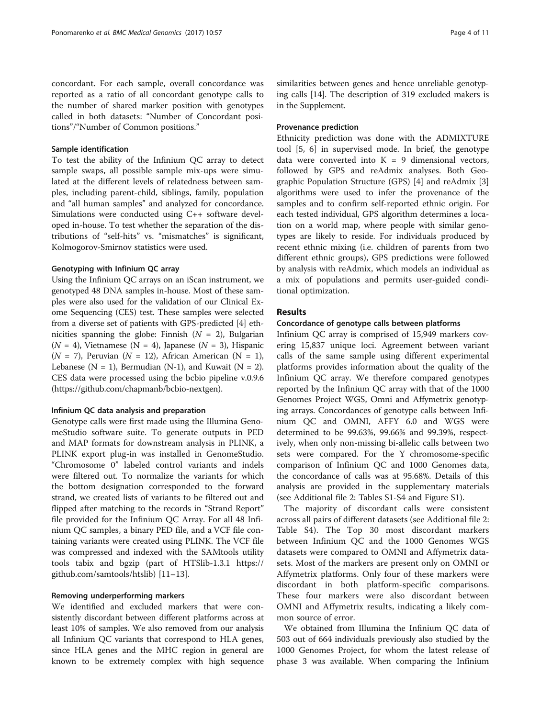concordant. For each sample, overall concordance was reported as a ratio of all concordant genotype calls to the number of shared marker position with genotypes called in both datasets: "Number of Concordant positions"/"Number of Common positions."

# Sample identification

To test the ability of the Infinium QC array to detect sample swaps, all possible sample mix-ups were simulated at the different levels of relatedness between samples, including parent-child, siblings, family, population and "all human samples" and analyzed for concordance. Simulations were conducted using C++ software developed in-house. To test whether the separation of the distributions of "self-hits" vs. "mismatches" is significant, Kolmogorov-Smirnov statistics were used.

# Genotyping with Infinium QC array

Using the Infinium QC arrays on an iScan instrument, we genotyped 48 DNA samples in-house. Most of these samples were also used for the validation of our Clinical Exome Sequencing (CES) test. These samples were selected from a diverse set of patients with GPS-predicted [\[4](#page-9-0)] ethnicities spanning the globe: Finnish  $(N = 2)$ , Bulgarian  $(N = 4)$ , Vietnamese (N = 4), Japanese (N = 3), Hispanic  $(N = 7)$ , Peruvian  $(N = 12)$ , African American  $(N = 1)$ , Lebanese ( $N = 1$ ), Bermudian ( $N-1$ ), and Kuwait ( $N = 2$ ). CES data were processed using the bcbio pipeline v.0.9.6 (<https://github.com/chapmanb/bcbio-nextgen>).

# Infinium QC data analysis and preparation

Genotype calls were first made using the Illumina GenomeStudio software suite. To generate outputs in PED and MAP formats for downstream analysis in PLINK, a PLINK export plug-in was installed in GenomeStudio. "Chromosome 0" labeled control variants and indels were filtered out. To normalize the variants for which the bottom designation corresponded to the forward strand, we created lists of variants to be filtered out and flipped after matching to the records in "Strand Report" file provided for the Infinium QC Array. For all 48 Infinium QC samples, a binary PED file, and a VCF file containing variants were created using PLINK. The VCF file was compressed and indexed with the SAMtools utility tools tabix and bgzip (part of HTSlib-1.3.1 [https://](https://github.com/samtools/htslib) [github.com/samtools/htslib\)](https://github.com/samtools/htslib) [[11](#page-10-0)–[13](#page-10-0)].

## Removing underperforming markers

We identified and excluded markers that were consistently discordant between different platforms across at least 10% of samples. We also removed from our analysis all Infinium QC variants that correspond to HLA genes, since HLA genes and the MHC region in general are known to be extremely complex with high sequence similarities between genes and hence unreliable genotyping calls [[14](#page-10-0)]. The description of 319 excluded makers is in the Supplement.

# Provenance prediction

Ethnicity prediction was done with the ADMIXTURE tool [[5,](#page-9-0) [6\]](#page-10-0) in supervised mode. In brief, the genotype data were converted into  $K = 9$  dimensional vectors, followed by GPS and reAdmix analyses. Both Geographic Population Structure (GPS) [\[4](#page-9-0)] and reAdmix [\[3](#page-9-0)] algorithms were used to infer the provenance of the samples and to confirm self-reported ethnic origin. For each tested individual, GPS algorithm determines a location on a world map, where people with similar genotypes are likely to reside. For individuals produced by recent ethnic mixing (i.e. children of parents from two different ethnic groups), GPS predictions were followed by analysis with reAdmix, which models an individual as a mix of populations and permits user-guided conditional optimization.

# Results

# Concordance of genotype calls between platforms

Infinium QC array is comprised of 15,949 markers covering 15,837 unique loci. Agreement between variant calls of the same sample using different experimental platforms provides information about the quality of the Infinium QC array. We therefore compared genotypes reported by the Infinium QC array with that of the 1000 Genomes Project WGS, Omni and Affymetrix genotyping arrays. Concordances of genotype calls between Infinium QC and OMNI, AFFY 6.0 and WGS were determined to be 99.63%, 99.66% and 99.39%, respectively, when only non-missing bi-allelic calls between two sets were compared. For the Y chromosome-specific comparison of Infinium QC and 1000 Genomes data, the concordance of calls was at 95.68%. Details of this analysis are provided in the supplementary materials (see Additional file [2:](#page-9-0) Tables S1-S4 and Figure S1).

The majority of discordant calls were consistent across all pairs of different datasets (see Additional file [2](#page-9-0): Table S4). The Top 30 most discordant markers between Infinium QC and the 1000 Genomes WGS datasets were compared to OMNI and Affymetrix datasets. Most of the markers are present only on OMNI or Affymetrix platforms. Only four of these markers were discordant in both platform-specific comparisons. These four markers were also discordant between OMNI and Affymetrix results, indicating a likely common source of error.

We obtained from Illumina the Infinium QC data of 503 out of 664 individuals previously also studied by the 1000 Genomes Project, for whom the latest release of phase 3 was available. When comparing the Infinium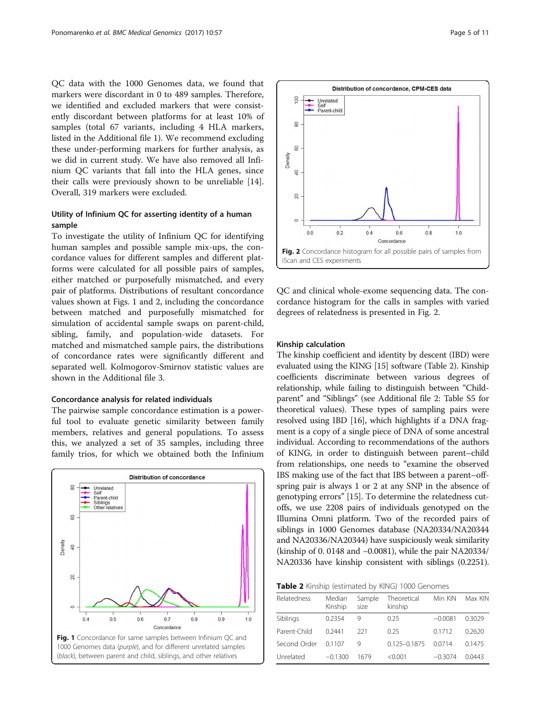QC data with the 1000 Genomes data, we found that markers were discordant in 0 to 489 samples. Therefore, we identified and excluded markers that were consistently discordant between platforms for at least 10% of samples (total 67 variants, including 4 HLA markers, listed in the Additional file [1\)](#page-9-0). We recommend excluding these under-performing markers for further analysis, as we did in current study. We have also removed all Infinium QC variants that fall into the HLA genes, since their calls were previously shown to be unreliable [\[14](#page-10-0)]. Overall, 319 markers were excluded.

# Utility of Infinium QC for asserting identity of a human sample

To investigate the utility of Infinium QC for identifying human samples and possible sample mix-ups, the concordance values for different samples and different platforms were calculated for all possible pairs of samples, either matched or purposefully mismatched, and every pair of platforms. Distributions of resultant concordance values shown at Figs. 1 and 2, including the concordance between matched and purposefully mismatched for simulation of accidental sample swaps on parent-child, sibling, family, and population-wide datasets. For matched and mismatched sample pairs, the distributions of concordance rates were significantly different and separated well. Kolmogorov-Smirnov statistic values are shown in the Additional file [3](#page-9-0).

## Concordance analysis for related individuals

The pairwise sample concordance estimation is a powerful tool to evaluate genetic similarity between family members, relatives and general populations. To assess this, we analyzed a set of 35 samples, including three family trios, for which we obtained both the Infinium





QC and clinical whole-exome sequencing data. The concordance histogram for the calls in samples with varied degrees of relatedness is presented in Fig. 2.

# Kinship calculation

The kinship coefficient and identity by descent (IBD) were evaluated using the KING [\[15\]](#page-10-0) software (Table 2). Kinship coefficients discriminate between various degrees of relationship, while failing to distinguish between "Childparent" and "Siblings" (see Additional file [2:](#page-9-0) Table S5 for theoretical values). These types of sampling pairs were resolved using IBD [\[16\]](#page-10-0), which highlights if a DNA fragment is a copy of a single piece of DNA of some ancestral individual. According to recommendations of the authors of KING, in order to distinguish between parent–child from relationships, one needs to "examine the observed IBS making use of the fact that IBS between a parent–offspring pair is always 1 or 2 at any SNP in the absence of genotyping errors" [[15\]](#page-10-0). To determine the relatedness cutoffs, we use 2208 pairs of individuals genotyped on the Illumina Omni platform. Two of the recorded pairs of siblings in 1000 Genomes database (NA20334/NA20344 and NA20336/NA20344) have suspiciously weak similarity (kinship of 0. 0148 and −0.0081), while the pair NA20334/ NA20336 have kinship consistent with siblings (0.2251).

Table 2 Kinship (estimated by KING) 1000 Genomes

| Relatedness  | Median<br>Kinship | Sample<br>size | Theoretical<br>kinship | Min KIN   | Max KIN |  |
|--------------|-------------------|----------------|------------------------|-----------|---------|--|
| Siblings     | 0.2354            | Q              | 0.25                   | $-0.0081$ | 0.3029  |  |
| Parent-Child | 0.2441            | 221            | 0.25                   | 0.1712    | 0.2620  |  |
| Second Order | 0.1107            | q              | $0.125 - 0.1875$       | 00714     | 01475   |  |
| Unrelated    | $-0.1300$         | 1679           | < 0.001                | $-0.3074$ | 0.0443  |  |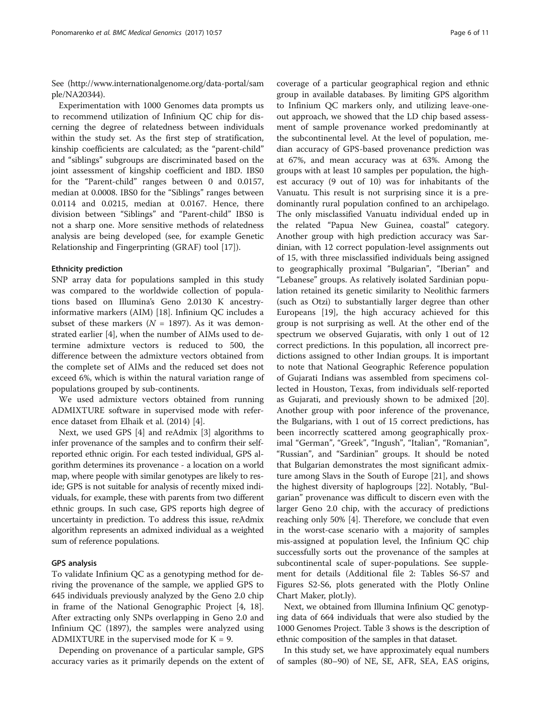See ([http://www.internationalgenome.org/data-portal/sam](http://www.internationalgenome.org/data-portal/sample/NA20344) [ple/NA20344](http://www.internationalgenome.org/data-portal/sample/NA20344)).

Experimentation with 1000 Genomes data prompts us to recommend utilization of Infinium QC chip for discerning the degree of relatedness between individuals within the study set. As the first step of stratification, kinship coefficients are calculated; as the "parent-child" and "siblings" subgroups are discriminated based on the joint assessment of kingship coefficient and IBD. IBS0 for the "Parent-child" ranges between 0 and 0.0157, median at 0.0008. IBS0 for the "Siblings" ranges between 0.0114 and 0.0215, median at 0.0167. Hence, there division between "Siblings" and "Parent-child" IBS0 is not a sharp one. More sensitive methods of relatedness analysis are being developed (see, for example Genetic Relationship and Fingerprinting (GRAF) tool [[17\]](#page-10-0)).

# Ethnicity prediction

SNP array data for populations sampled in this study was compared to the worldwide collection of populations based on Illumina's Geno 2.0130 K ancestryinformative markers (AIM) [[18\]](#page-10-0). Infinium QC includes a subset of these markers ( $N = 1897$ ). As it was demonstrated earlier [\[4\]](#page-9-0), when the number of AIMs used to determine admixture vectors is reduced to 500, the difference between the admixture vectors obtained from the complete set of AIMs and the reduced set does not exceed 6%, which is within the natural variation range of populations grouped by sub-continents.

We used admixture vectors obtained from running ADMIXTURE software in supervised mode with reference dataset from Elhaik et al. (2014) [\[4](#page-9-0)].

Next, we used GPS [[4\]](#page-9-0) and reAdmix [\[3](#page-9-0)] algorithms to infer provenance of the samples and to confirm their selfreported ethnic origin. For each tested individual, GPS algorithm determines its provenance - a location on a world map, where people with similar genotypes are likely to reside; GPS is not suitable for analysis of recently mixed individuals, for example, these with parents from two different ethnic groups. In such case, GPS reports high degree of uncertainty in prediction. To address this issue, reAdmix algorithm represents an admixed individual as a weighted sum of reference populations.

## GPS analysis

To validate Infinium QC as a genotyping method for deriving the provenance of the sample, we applied GPS to 645 individuals previously analyzed by the Geno 2.0 chip in frame of the National Genographic Project [\[4](#page-9-0), [18](#page-10-0)]. After extracting only SNPs overlapping in Geno 2.0 and Infinium QC (1897), the samples were analyzed using ADMIXTURE in the supervised mode for  $K = 9$ .

Depending on provenance of a particular sample, GPS accuracy varies as it primarily depends on the extent of

coverage of a particular geographical region and ethnic group in available databases. By limiting GPS algorithm to Infinium QC markers only, and utilizing leave-oneout approach, we showed that the LD chip based assessment of sample provenance worked predominantly at the subcontinental level. At the level of population, median accuracy of GPS-based provenance prediction was at 67%, and mean accuracy was at 63%. Among the groups with at least 10 samples per population, the highest accuracy (9 out of 10) was for inhabitants of the Vanuatu. This result is not surprising since it is a predominantly rural population confined to an archipelago. The only misclassified Vanuatu individual ended up in the related "Papua New Guinea, coastal" category. Another group with high prediction accuracy was Sardinian, with 12 correct population-level assignments out of 15, with three misclassified individuals being assigned to geographically proximal "Bulgarian", "Iberian" and "Lebanese" groups. As relatively isolated Sardinian population retained its genetic similarity to Neolithic farmers (such as Otzi) to substantially larger degree than other Europeans [\[19\]](#page-10-0), the high accuracy achieved for this group is not surprising as well. At the other end of the spectrum we observed Gujaratis, with only 1 out of 12 correct predictions. In this population, all incorrect predictions assigned to other Indian groups. It is important to note that National Geographic Reference population of Gujarati Indians was assembled from specimens collected in Houston, Texas, from individuals self-reported as Gujarati, and previously shown to be admixed [\[20](#page-10-0)]. Another group with poor inference of the provenance, the Bulgarians, with 1 out of 15 correct predictions, has been incorrectly scattered among geographically proximal "German", "Greek", "Ingush", "Italian", "Romanian", "Russian", and "Sardinian" groups. It should be noted that Bulgarian demonstrates the most significant admixture among Slavs in the South of Europe [[21\]](#page-10-0), and shows the highest diversity of haplogroups [[22\]](#page-10-0). Notably, "Bulgarian" provenance was difficult to discern even with the larger Geno 2.0 chip, with the accuracy of predictions reaching only 50% [[4\]](#page-9-0). Therefore, we conclude that even in the worst-case scenario with a majority of samples mis-assigned at population level, the Infinium QC chip successfully sorts out the provenance of the samples at subcontinental scale of super-populations. See supplement for details (Additional file [2](#page-9-0): Tables S6-S7 and Figures S2-S6, plots generated with the Plotly Online Chart Maker, [plot.ly\)](http://plot.ly).

Next, we obtained from Illumina Infinium QC genotyping data of 664 individuals that were also studied by the 1000 Genomes Project. Table [3](#page-6-0) shows is the description of ethnic composition of the samples in that dataset.

In this study set, we have approximately equal numbers of samples (80–90) of NE, SE, AFR, SEA, EAS origins,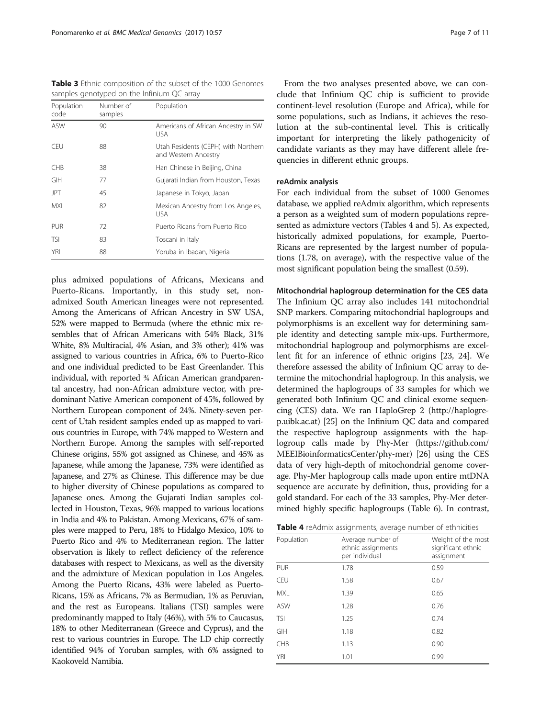| Population<br>code | Number of<br>samples | Population                                                  |
|--------------------|----------------------|-------------------------------------------------------------|
| ASW                | 90                   | Americans of African Ancestry in SW<br>USA                  |
| <b>CFU</b>         | 88                   | Utah Residents (CEPH) with Northern<br>and Western Ancestry |
| CHB                | 38                   | Han Chinese in Beijing, China                               |
| GIH                | 77                   | Gujarati Indian from Houston, Texas                         |
| <b>JPT</b>         | 45                   | Japanese in Tokyo, Japan                                    |
| MXI                | 82                   | Mexican Ancestry from Los Angeles,<br>USA                   |
| <b>PUR</b>         | 72                   | Puerto Ricans from Puerto Rico                              |
| <b>TSI</b>         | 83                   | Toscani in Italy                                            |
| YRI                | 88                   | Yoruba in Ibadan, Nigeria                                   |

<span id="page-6-0"></span>Table 3 Ethnic composition of the subset of the 1000 Genomes samples genotyped on the Infinium QC array

plus admixed populations of Africans, Mexicans and Puerto-Ricans. Importantly, in this study set, nonadmixed South American lineages were not represented. Among the Americans of African Ancestry in SW USA, 52% were mapped to Bermuda (where the ethnic mix resembles that of African Americans with 54% Black, 31% White, 8% Multiracial, 4% Asian, and 3% other); 41% was assigned to various countries in Africa, 6% to Puerto-Rico and one individual predicted to be East Greenlander. This individual, with reported ¾ African American grandparental ancestry, had non-African admixture vector, with predominant Native American component of 45%, followed by Northern European component of 24%. Ninety-seven percent of Utah resident samples ended up as mapped to various countries in Europe, with 74% mapped to Western and Northern Europe. Among the samples with self-reported Chinese origins, 55% got assigned as Chinese, and 45% as Japanese, while among the Japanese, 73% were identified as Japanese, and 27% as Chinese. This difference may be due to higher diversity of Chinese populations as compared to Japanese ones. Among the Gujarati Indian samples collected in Houston, Texas, 96% mapped to various locations in India and 4% to Pakistan. Among Mexicans, 67% of samples were mapped to Peru, 18% to Hidalgo Mexico, 10% to Puerto Rico and 4% to Mediterranean region. The latter observation is likely to reflect deficiency of the reference databases with respect to Mexicans, as well as the diversity and the admixture of Mexican population in Los Angeles. Among the Puerto Ricans, 43% were labeled as Puerto-Ricans, 15% as Africans, 7% as Bermudian, 1% as Peruvian, and the rest as Europeans. Italians (TSI) samples were predominantly mapped to Italy (46%), with 5% to Caucasus, 18% to other Mediterranean (Greece and Cyprus), and the rest to various countries in Europe. The LD chip correctly identified 94% of Yoruban samples, with 6% assigned to Kaokoveld Namibia.

From the two analyses presented above, we can conclude that Infinium QC chip is sufficient to provide continent-level resolution (Europe and Africa), while for some populations, such as Indians, it achieves the resolution at the sub-continental level. This is critically important for interpreting the likely pathogenicity of candidate variants as they may have different allele frequencies in different ethnic groups.

# reAdmix analysis

For each individual from the subset of 1000 Genomes database, we applied reAdmix algorithm, which represents a person as a weighted sum of modern populations represented as admixture vectors (Tables 4 and [5\)](#page-7-0). As expected, historically admixed populations, for example, Puerto-Ricans are represented by the largest number of populations (1.78, on average), with the respective value of the most significant population being the smallest (0.59).

# Mitochondrial haplogroup determination for the CES data

The Infinium QC array also includes 141 mitochondrial SNP markers. Comparing mitochondrial haplogroups and polymorphisms is an excellent way for determining sample identity and detecting sample mix-ups. Furthermore, mitochondrial haplogroup and polymorphisms are excellent fit for an inference of ethnic origins [\[23, 24](#page-10-0)]. We therefore assessed the ability of Infinium QC array to determine the mitochondrial haplogroup. In this analysis, we determined the haplogroups of 33 samples for which we generated both Infinium QC and clinical exome sequencing (CES) data. We ran HaploGrep 2 ([http://haplogre](http://haplogrep.uibk.ac.at)[p.uibk.ac.at\)](http://haplogrep.uibk.ac.at) [\[25\]](#page-10-0) on the Infinium QC data and compared the respective haplogroup assignments with the haplogroup calls made by Phy-Mer ([https://github.com/](https://github.com/MEEIBioinformaticsCenter/phy-mer) [MEEIBioinformaticsCenter/phy-mer\)](https://github.com/MEEIBioinformaticsCenter/phy-mer) [[26](#page-10-0)] using the CES data of very high-depth of mitochondrial genome coverage. Phy-Mer haplogroup calls made upon entire mtDNA sequence are accurate by definition, thus, providing for a gold standard. For each of the 33 samples, Phy-Mer determined highly specific haplogroups (Table [6](#page-7-0)). In contrast,

| Table 4 reAdmix assignments, average number of ethnicities |  |  |  |  |
|------------------------------------------------------------|--|--|--|--|
|------------------------------------------------------------|--|--|--|--|

| Population | Average number of<br>ethnic assignments<br>per individual | Weight of the most<br>significant ethnic<br>assignment |
|------------|-----------------------------------------------------------|--------------------------------------------------------|
| <b>PUR</b> | 1.78                                                      | 0.59                                                   |
| CFU        | 1.58                                                      | 0.67                                                   |
| <b>MXI</b> | 1.39                                                      | 0.65                                                   |
| <b>ASW</b> | 1.28                                                      | 0.76                                                   |
| <b>TSI</b> | 1.25                                                      | 0.74                                                   |
| GIH        | 1.18                                                      | 0.82                                                   |
| <b>CHB</b> | 1.13                                                      | 0.90                                                   |
| YRI        | 1.01                                                      | 0.99                                                   |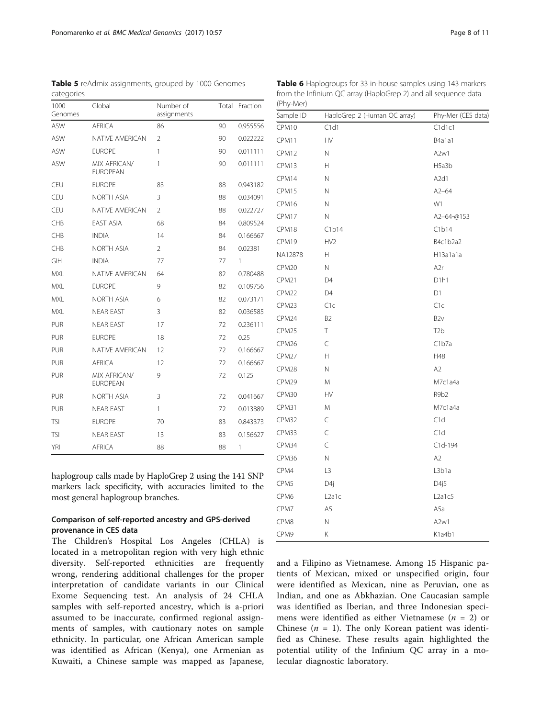haplogroup calls made by HaploGrep 2 using the 141 SNP markers lack specificity, with accuracies limited to the most general haplogroup branches.

# Comparison of self-reported ancestry and GPS-derived provenance in CES data

The Children's Hospital Los Angeles (CHLA) is located in a metropolitan region with very high ethnic diversity. Self-reported ethnicities are frequently wrong, rendering additional challenges for the proper interpretation of candidate variants in our Clinical Exome Sequencing test. An analysis of 24 CHLA samples with self-reported ancestry, which is a-priori assumed to be inaccurate, confirmed regional assignments of samples, with cautionary notes on sample ethnicity. In particular, one African American sample was identified as African (Kenya), one Armenian as Kuwaiti, a Chinese sample was mapped as Japanese,

and a Filipino as Vietnamese. Among 15 Hispanic patients of Mexican, mixed or unspecified origin, four were identified as Mexican, nine as Peruvian, one as Indian, and one as Abkhazian. One Caucasian sample was identified as Iberian, and three Indonesian specimens were identified as either Vietnamese ( $n = 2$ ) or Chinese  $(n = 1)$ . The only Korean patient was identified as Chinese. These results again highlighted the potential utility of the Infinium QC array in a molecular diagnostic laboratory.

CPM6 L2a1c L2and L2a1c5 CPM7 A5 A5a CPM8 N A2w1 CPM9 K K K1a4b1

| 1000       | Global                                                  | Number of<br>assignments |    | Total Fraction | (Phy-Mer) |                              |                               |  |  |
|------------|---------------------------------------------------------|--------------------------|----|----------------|-----------|------------------------------|-------------------------------|--|--|
| Genomes    |                                                         |                          |    |                | Sample ID | HaploGrep 2 (Human QC array) | Phy-Mer (CES data)            |  |  |
| ASW        | <b>AFRICA</b>                                           | 86                       | 90 | 0.955556       | CPM10     | C1d1                         | C1d1c1                        |  |  |
| ASW        | NATIVE AMERICAN                                         | 2                        | 90 | 0.022222       | CPM11     | HV                           | B4a1a1                        |  |  |
| ASW        | <b>EUROPE</b>                                           | 1                        | 90 | 0.011111       | CPM12     | Ν                            | A <sub>2</sub> w1             |  |  |
| ASW        | MIX AFRICAN/<br><b>EUROPEAN</b>                         | 1                        | 90 | 0.011111       | CPM13     | Н                            | H5a3b                         |  |  |
| CEU        | <b>EUROPE</b>                                           | 83                       | 88 | 0.943182       | CPM14     | Ν                            | A <sub>2</sub> d <sub>1</sub> |  |  |
| <b>CEU</b> | NORTH ASIA                                              | 3                        | 88 | 0.034091       | CPM15     | Ν                            | $A2-64$                       |  |  |
| <b>CEU</b> | NATIVE AMERICAN                                         | $\overline{2}$           | 88 | 0.022727       | CPM16     | N                            | W1                            |  |  |
| CHB        | <b>EAST ASIA</b>                                        | 68                       | 84 | 0.809524       | CPM17     | $\hbox{N}$                   | A2-64-@153                    |  |  |
| CHB        | <b>INDIA</b>                                            | 14                       | 84 | 0.166667       | CPM18     | C1b14                        | C1b14                         |  |  |
| CHB        | NORTH ASIA                                              | 2                        | 84 | 0.02381        | CPM19     | HV2                          | B4c1b2a2                      |  |  |
| GIH        | <b>INDIA</b>                                            | 77                       | 77 | $\mathbf{1}$   | NA12878   | H                            | H13a1a1a                      |  |  |
| MXL        | NATIVE AMERICAN                                         | 64                       | 82 | 0.780488       | CPM20     | N                            | A <sub>2</sub> r              |  |  |
| MXL        | <b>EUROPE</b>                                           | 9                        | 82 | 0.109756       | CPM21     | D4                           | D <sub>1</sub> h <sub>1</sub> |  |  |
| <b>MXL</b> | NORTH ASIA                                              | 6                        | 82 | 0.073171       | CPM22     | D <sub>4</sub>               | D1                            |  |  |
| <b>MXL</b> | <b>NEAR EAST</b>                                        | 3                        | 82 | 0.036585       | CPM23     | C1c                          | C1c                           |  |  |
| PUR        | <b>NEAR EAST</b>                                        | 17                       | 72 | 0.236111       | CPM24     | B <sub>2</sub>               | B <sub>2v</sub>               |  |  |
| PUR        | <b>EUROPE</b>                                           | 18                       | 72 | 0.25           | CPM25     | T.                           | T <sub>2</sub> b              |  |  |
| PUR        | NATIVE AMERICAN                                         | 12                       | 72 | 0.166667       | CPM26     | C                            | C1b7a                         |  |  |
| <b>PUR</b> | <b>AFRICA</b>                                           | 12                       | 72 | 0.166667       | CPM27     | Н                            | H48                           |  |  |
| PUR        | MIX AFRICAN/                                            | 9                        | 72 | 0.125          | CPM28     | Ν                            | A <sub>2</sub>                |  |  |
|            | <b>EUROPEAN</b>                                         |                          |    |                | CPM29     | М                            | M7c1a4a                       |  |  |
| PUR        | NORTH ASIA                                              | 3                        | 72 | 0.041667       | CPM30     | HV                           | R9b2                          |  |  |
| PUR        | <b>NEAR EAST</b>                                        | 1                        | 72 | 0.013889       | CPM31     | Μ                            | M7c1a4a                       |  |  |
| <b>TSI</b> | <b>EUROPE</b>                                           | 70                       | 83 | 0.843373       | CPM32     | C                            | C1d                           |  |  |
| <b>TSI</b> | <b>NEAR EAST</b>                                        | 13                       | 83 | 0.156627       | CPM33     | C                            | C1d                           |  |  |
| <b>YRI</b> | <b>AFRICA</b>                                           | 88                       | 88 | $\mathbf{1}$   | CPM34     | $\subset$                    | $C1d-194$                     |  |  |
|            |                                                         |                          |    |                | CPM36     | $\mathsf{N}$                 | A2                            |  |  |
|            | haplogroup calls made by HaploGrep 2 using the 141 SNP  |                          |    |                | CPM4      | L <sub>3</sub>               | L3b1a                         |  |  |
|            | markers lack specificity with accuracies limited to the |                          |    |                | CPM5      | D4j                          | D4j5                          |  |  |

<span id="page-7-0"></span>Table 5 reAdmix assignments, grouped by 1000 Genomes categories

Table 6 Haplogroups for 33 in-house samples using 143 markers from the Infinium QC array (HaploGrep 2) and all sequence data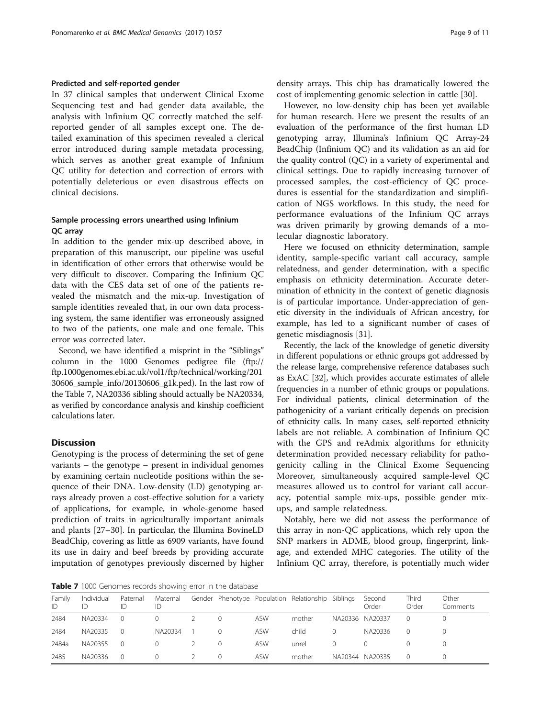# Predicted and self-reported gender

In 37 clinical samples that underwent Clinical Exome Sequencing test and had gender data available, the analysis with Infinium QC correctly matched the selfreported gender of all samples except one. The detailed examination of this specimen revealed a clerical error introduced during sample metadata processing, which serves as another great example of Infinium QC utility for detection and correction of errors with potentially deleterious or even disastrous effects on clinical decisions.

# Sample processing errors unearthed using Infinium QC array

In addition to the gender mix-up described above, in preparation of this manuscript, our pipeline was useful in identification of other errors that otherwise would be very difficult to discover. Comparing the Infinium QC data with the CES data set of one of the patients revealed the mismatch and the mix-up. Investigation of sample identities revealed that, in our own data processing system, the same identifier was erroneously assigned to two of the patients, one male and one female. This error was corrected later.

Second, we have identified a misprint in the "Siblings" column in the 1000 Genomes pedigree file [\(ftp://](ftp://ftp.1000genomes.ebi.ac.uk/vol1/ftp/technical/working/20130606_sample_info/20130606_g1k.ped) [ftp.1000genomes.ebi.ac.uk/vol1/ftp/technical/working/201](ftp://ftp.1000genomes.ebi.ac.uk/vol1/ftp/technical/working/20130606_sample_info/20130606_g1k.ped) [30606\\_sample\\_info/20130606\\_g1k.ped](ftp://ftp.1000genomes.ebi.ac.uk/vol1/ftp/technical/working/20130606_sample_info/20130606_g1k.ped)). In the last row of the Table 7, NA20336 sibling should actually be NA20334, as verified by concordance analysis and kinship coefficient calculations later.

# **Discussion**

Genotyping is the process of determining the set of gene variants – the genotype – present in individual genomes by examining certain nucleotide positions within the sequence of their DNA. Low-density (LD) genotyping arrays already proven a cost-effective solution for a variety of applications, for example, in whole-genome based prediction of traits in agriculturally important animals and plants [\[27](#page-10-0)–[30\]](#page-10-0). In particular, the Illumina BovineLD BeadChip, covering as little as 6909 variants, have found its use in dairy and beef breeds by providing accurate imputation of genotypes previously discerned by higher density arrays. This chip has dramatically lowered the cost of implementing genomic selection in cattle [\[30](#page-10-0)].

However, no low-density chip has been yet available for human research. Here we present the results of an evaluation of the performance of the first human LD genotyping array, Illumina's Infinium QC Array-24 BeadChip (Infinium QC) and its validation as an aid for the quality control (QC) in a variety of experimental and clinical settings. Due to rapidly increasing turnover of processed samples, the cost-efficiency of QC procedures is essential for the standardization and simplification of NGS workflows. In this study, the need for performance evaluations of the Infinium QC arrays was driven primarily by growing demands of a molecular diagnostic laboratory.

Here we focused on ethnicity determination, sample identity, sample-specific variant call accuracy, sample relatedness, and gender determination, with a specific emphasis on ethnicity determination. Accurate determination of ethnicity in the context of genetic diagnosis is of particular importance. Under-appreciation of genetic diversity in the individuals of African ancestry, for example, has led to a significant number of cases of genetic misdiagnosis [[31\]](#page-10-0).

Recently, the lack of the knowledge of genetic diversity in different populations or ethnic groups got addressed by the release large, comprehensive reference databases such as ExAC [\[32](#page-10-0)], which provides accurate estimates of allele frequencies in a number of ethnic groups or populations. For individual patients, clinical determination of the pathogenicity of a variant critically depends on precision of ethnicity calls. In many cases, self-reported ethnicity labels are not reliable. A combination of Infinium QC with the GPS and reAdmix algorithms for ethnicity determination provided necessary reliability for pathogenicity calling in the Clinical Exome Sequencing Moreover, simultaneously acquired sample-level QC measures allowed us to control for variant call accuracy, potential sample mix-ups, possible gender mixups, and sample relatedness.

Notably, here we did not assess the performance of this array in non-QC applications, which rely upon the SNP markers in ADME, blood group, fingerprint, linkage, and extended MHC categories. The utility of the Infinium QC array, therefore, is potentially much wider

**Table 7** 1000 Genomes records showing error in the database

| Family<br>ID | Individual<br>ID | Paternal<br>ID | Maternal<br>ID   |  |            | Gender Phenotype Population Relationship Siblings |                 | Second<br>Order | Third<br>Order | Other<br>Comments |
|--------------|------------------|----------------|------------------|--|------------|---------------------------------------------------|-----------------|-----------------|----------------|-------------------|
| 2484         | NA20334          | $\Omega$       |                  |  | <b>ASW</b> | mother                                            | NA20336 NA20337 |                 |                |                   |
| 2484         | NA20335          | $\Omega$       | NA20334          |  | <b>ASW</b> | child                                             |                 | NA20336         |                |                   |
| 2484a        | NA20355          | $\Omega$       | $\left( \right)$ |  | <b>ASW</b> | unrel                                             |                 |                 |                |                   |
| 2485         | NA20336          | $\Omega$       | 0                |  | ASW        | mother                                            |                 | NA20344 NA20335 | 0              |                   |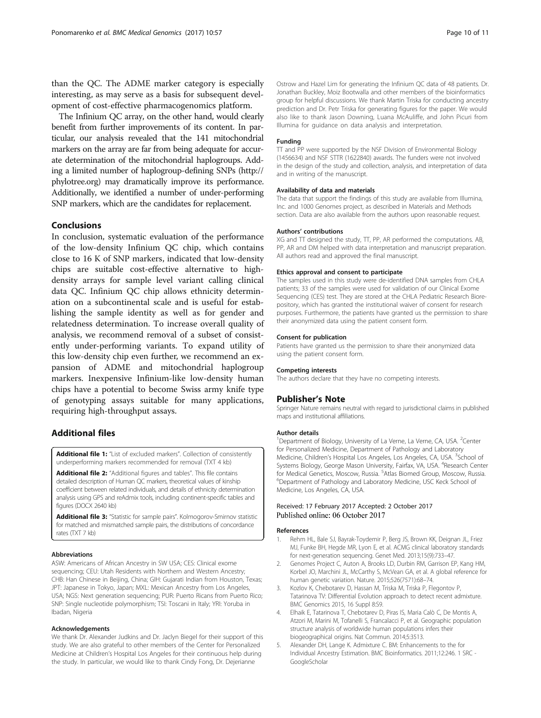<span id="page-9-0"></span>than the QC. The ADME marker category is especially interesting, as may serve as a basis for subsequent development of cost-effective pharmacogenomics platform.

The Infinium QC array, on the other hand, would clearly benefit from further improvements of its content. In particular, our analysis revealed that the 141 mitochondrial markers on the array are far from being adequate for accurate determination of the mitochondrial haplogroups. Adding a limited number of haplogroup-defining SNPs [\(http://](http://phylotree.org) [phylotree.org](http://phylotree.org)) may dramatically improve its performance. Additionally, we identified a number of under-performing SNP markers, which are the candidates for replacement.

# Conclusions

In conclusion, systematic evaluation of the performance of the low-density Infinium QC chip, which contains close to 16 K of SNP markers, indicated that low-density chips are suitable cost-effective alternative to highdensity arrays for sample level variant calling clinical data QC. Infinium QC chip allows ethnicity determination on a subcontinental scale and is useful for establishing the sample identity as well as for gender and relatedness determination. To increase overall quality of analysis, we recommend removal of a subset of consistently under-performing variants. To expand utility of this low-density chip even further, we recommend an expansion of ADME and mitochondrial haplogroup markers. Inexpensive Infinium-like low-density human chips have a potential to become Swiss army knife type of genotyping assays suitable for many applications, requiring high-throughput assays.

# Additional files

[Additional file 1:](dx.doi.org/10.1186/s12920-017-0297-7) "List of excluded markers". Collection of consistently underperforming markers recommended for removal (TXT 4 kb)

[Additional file 2:](dx.doi.org/10.1186/s12920-017-0297-7) "Additional figures and tables". This file contains detailed description of Human QC markers, theoretical values of kinship coefficient between related individuals, and details of ethnicity determination analysis using GPS and reAdmix tools, including continent-specific tables and figures (DOCX 2640 kb)

[Additional file 3:](dx.doi.org/10.1186/s12920-017-0297-7) "Statistic for sample pairs". Kolmogorov-Smirnov statistic for matched and mismatched sample pairs, the distributions of concordance rates (TXT 7 kb)

## Abbreviations

ASW: Americans of African Ancestry in SW USA; CES: Clinical exome sequencing; CEU: Utah Residents with Northern and Western Ancestry; CHB: Han Chinese in Beijing, China; GIH: Gujarati Indian from Houston, Texas; JPT: Japanese in Tokyo, Japan; MXL: Mexican Ancestry from Los Angeles, USA; NGS: Next generation sequencing; PUR: Puerto Ricans from Puerto Rico; SNP: Single nucleotide polymorphism; TSI: Toscani in Italy; YRI: Yoruba in Ibadan, Nigeria

## Acknowledgements

We thank Dr. Alexander Judkins and Dr. Jaclyn Biegel for their support of this study. We are also grateful to other members of the Center for Personalized Medicine at Children's Hospital Los Angeles for their continuous help during the study. In particular, we would like to thank Cindy Fong, Dr. Dejerianne

Ostrow and Hazel Lim for generating the Infinium QC data of 48 patients. Dr. Jonathan Buckley, Moiz Bootwalla and other members of the bioinformatics group for helpful discussions. We thank Martin Triska for conducting ancestry prediction and Dr. Petr Triska for generating figures for the paper. We would also like to thank Jason Downing, Luana McAuliffe, and John Picuri from Illumina for guidance on data analysis and interpretation.

## Funding

TT and PP were supported by the NSF Division of Environmental Biology (1456634) and NSF STTR (1622840) awards. The funders were not involved in the design of the study and collection, analysis, and interpretation of data and in writing of the manuscript.

#### Availability of data and materials

The data that support the findings of this study are available from Illumina, Inc. and 1000 Genomes project, as described in Materials and Methods section. Data are also available from the authors upon reasonable request.

#### Authors' contributions

XG and TT designed the study, TT, PP, AR performed the computations. AB, PP, AR and DM helped with data interpretation and manuscript preparation. All authors read and approved the final manuscript.

## Ethics approval and consent to participate

The samples used in this study were de-identified DNA samples from CHLA patients; 33 of the samples were used for validation of our Clinical Exome Sequencing (CES) test. They are stored at the CHLA Pediatric Research Biorepository, which has granted the institutional waiver of consent for research purposes. Furthermore, the patients have granted us the permission to share their anonymized data using the patient consent form.

## Consent for publication

Patients have granted us the permission to share their anonymized data using the patient consent form.

## Competing interests

The authors declare that they have no competing interests.

## Publisher's Note

Springer Nature remains neutral with regard to jurisdictional claims in published maps and institutional affiliations.

## Author details

<sup>1</sup>Department of Biology, University of La Verne, La Verne, CA, USA. <sup>2</sup>Center for Personalized Medicine, Department of Pathology and Laboratory Medicine, Children's Hospital Los Angeles, Los Angeles, CA, USA. <sup>3</sup>School of Systems Biology, George Mason University, Fairfax, VA, USA. <sup>4</sup>Research Center for Medical Genetics, Moscow, Russia. <sup>5</sup>Atlas Biomed Group, Moscow, Russia.<br><sup>6</sup>Dopartment of Pathology and Laboratory Medicine. USC Kock School of <sup>6</sup>Department of Pathology and Laboratory Medicine, USC Keck School of Medicine, Los Angeles, CA, USA.

# Received: 17 February 2017 Accepted: 2 October 2017 Published online: 06 October 2017

## References

- 1. Rehm HL, Bale SJ, Bayrak-Toydemir P, Berg JS, Brown KK, Deignan JL, Friez MJ, Funke BH, Hegde MR, Lyon E, et al. ACMG clinical laboratory standards for next-generation sequencing. Genet Med. 2013;15(9):733–47.
- 2. Genomes Project C, Auton A, Brooks LD, Durbin RM, Garrison EP, Kang HM, Korbel JO, Marchini JL, McCarthy S, McVean GA, et al. A global reference for human genetic variation. Nature. 2015;526(7571):68–74.
- Kozlov K, Chebotarev D, Hassan M, Triska M, Triska P, Flegontov P, Tatarinova TV: Differential Evolution approach to detect recent admixture. BMC Genomics 2015, 16 Suppl 8:S9.
- 4. Elhaik E, Tatarinova T, Chebotarev D, Piras IS, Maria Calò C, De Montis A, Atzori M, Marini M, Tofanelli S, Francalacci P, et al. Geographic population structure analysis of worldwide human populations infers their biogeographical origins. Nat Commun. 2014;5:3513.
- 5. Alexander DH, Lange K. Admixture C. BM: Enhancements to the for Individual Ancestry Estimation. BMC Bioinformatics. 2011;12:246. 1 SRC - GoogleScholar